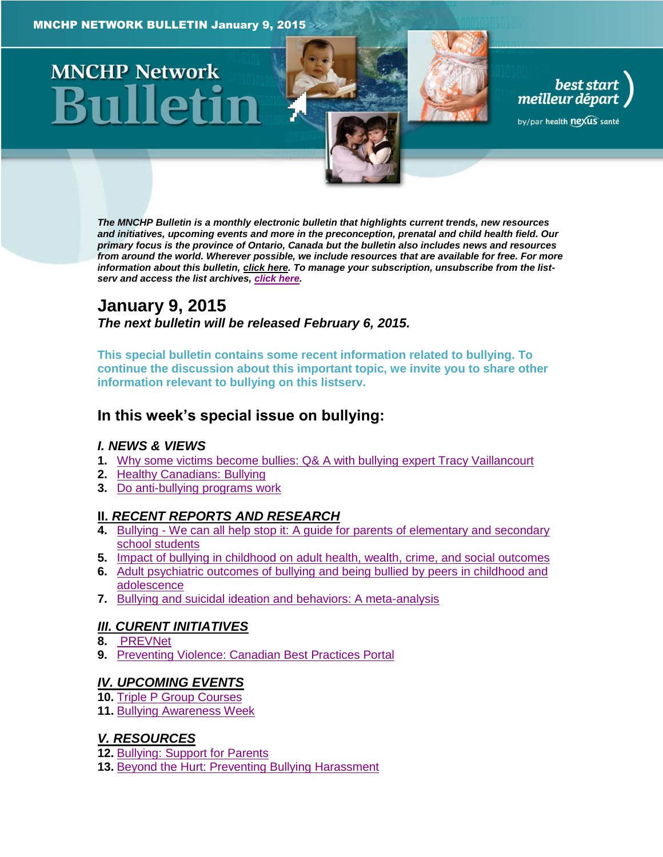# **MNCHP Network**

*The MNCHP Bulletin is a monthly electronic bulletin that highlights current trends, new resources and initiatives, upcoming events and more in the preconception, prenatal and child health field. Our primary focus is the province of Ontario, Canada but the bulletin also includes news and resources from around the world. Wherever possible, we include resources that are available for free. For more information about this bulletin[, click here.](#page-7-0) To manage your subscription, unsubscribe from the listserv and access the list archives, [click here.](http://en.beststart.org/services/information-exchange)* 

best start<br>meilleur départ

by/par health nexus santé

# **January 9, 2015** *The next bulletin will be released February 6, 2015.*

**This special bulletin contains some recent information related to bullying. To continue the discussion about this important topic, we invite you to share other information relevant to bullying on this listserv.** 

# **In this week's special issue on bullying:**

## *I. NEWS & VIEWS*

- **1.** [Why some victims become bullies: Q& A with bullying expert Tracy Vaillancourt](#page-1-0)
- **2.** [Healthy Canadians: Bullying](#page-1-1)
- **3.** [Do anti-bullying programs work](#page-1-2)

## **II.** *[RECENT REPORTS AND RESEARCH](#page-2-0)*

- **4.** Bullying [We can all help stop it: A guide for parents of elementary and secondary](#page-2-1)  [school students](#page-2-1)
- **5.** [Impact of bullying in childhood on adult health, wealth, crime, and social outcomes](#page-2-2)
- **6.** [Adult psychiatric outcomes of bullying and being bullied by peers in childhood and](#page-3-0)  [adolescence](#page-3-0)
- **7.** [Bullying and suicidal ideation and behaviors: A meta-analysis](#page-4-0)

## *[III. CURENT INITIATIVES](#page-4-1)*

- **8.** [PREVNet](#page-5-0)
- **9.** [Preventing Violence: Canadian Best Practices Portal](#page-5-1)

## *[IV. UPCOMING EVENTS](#page-5-2)*

- **10.** [Triple P Group Courses](#page-5-3)
- **11.** [Bullying Awareness Week](#page-5-4)

## *[V. RESOURCES](#page-5-5)*

- **12.** [Bullying: Support for Parents](#page-6-0)
- **13.** [Beyond the Hurt: Preventing Bullying Harassment](#page-6-1)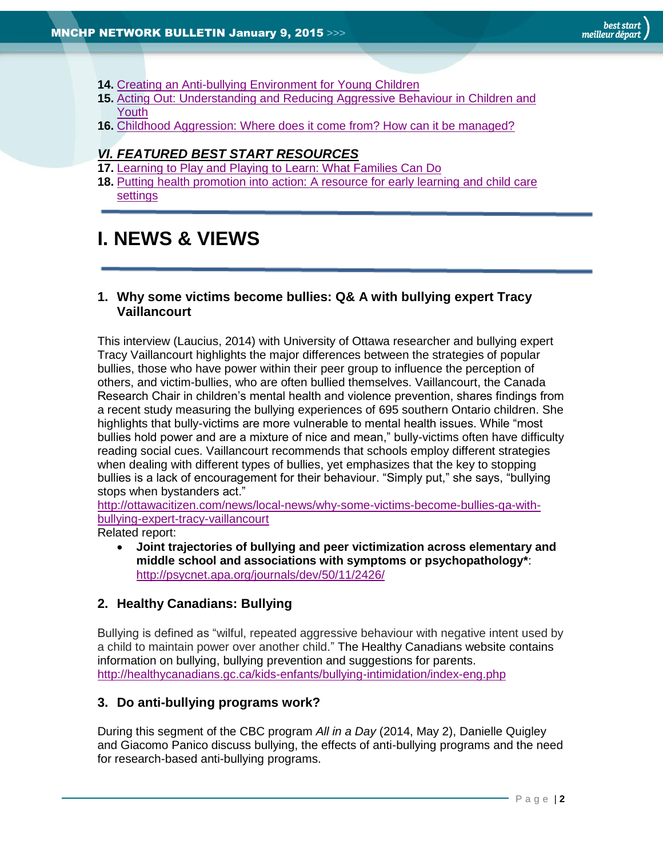- **14.** [Creating an Anti-bullying Environment for Young Children](#page-6-2)
- **15.** [Acting Out: Understanding and Reducing Aggressive Behaviour in Children and](#page-6-3)  [Youth](#page-6-3)
- **16.** [Childhood Aggression: Where does it come from? How can it be managed?](#page-6-4)

## *[VI. FEATURED BEST START RESOURCES](#page-7-1)*

- **17.** [Learning to Play and Playing to Learn: What Families Can Do](#page-7-2)
- **18.** [Putting health promotion into action: A resource for early learning and child care](#page-7-3)  [settings](#page-7-3)

# **I. NEWS & VIEWS**

## <span id="page-1-0"></span>**1. Why some victims become bullies: Q& A with bullying expert Tracy Vaillancourt**

This interview (Laucius, 2014) with University of Ottawa researcher and bullying expert Tracy Vaillancourt highlights the major differences between the strategies of popular bullies, those who have power within their peer group to influence the perception of others, and victim-bullies, who are often bullied themselves. Vaillancourt, the Canada Research Chair in children's mental health and violence prevention, shares findings from a recent study measuring the bullying experiences of 695 southern Ontario children. She highlights that bully-victims are more vulnerable to mental health issues. While "most bullies hold power and are a mixture of nice and mean," bully-victims often have difficulty reading social cues. Vaillancourt recommends that schools employ different strategies when dealing with different types of bullies, yet emphasizes that the key to stopping bullies is a lack of encouragement for their behaviour. "Simply put," she says, "bullying stops when bystanders act."

[http://ottawacitizen.com/news/local-news/why-some-victims-become-bullies-qa-with](http://ottawacitizen.com/news/local-news/why-some-victims-become-bullies-qa-with-bullying-expert-tracy-vaillancourt)[bullying-expert-tracy-vaillancourt](http://ottawacitizen.com/news/local-news/why-some-victims-become-bullies-qa-with-bullying-expert-tracy-vaillancourt)

Related report:

 **Joint trajectories of bullying and peer victimization across elementary and middle school and associations with symptoms or psychopathology\***: <http://psycnet.apa.org/journals/dev/50/11/2426/>

## <span id="page-1-1"></span>**2. Healthy Canadians: Bullying**

Bullying is defined as "wilful, repeated aggressive behaviour with negative intent used by a child to maintain power over another child." The Healthy Canadians website contains information on bullying, bullying prevention and suggestions for parents. <http://healthycanadians.gc.ca/kids-enfants/bullying-intimidation/index-eng.php>

## <span id="page-1-2"></span>**3. Do anti-bullying programs work?**

During this segment of the CBC program *All in a Day* (2014, May 2), Danielle Quigley and Giacomo Panico discuss bullying, the effects of anti-bullying programs and the need for research-based anti-bullying programs.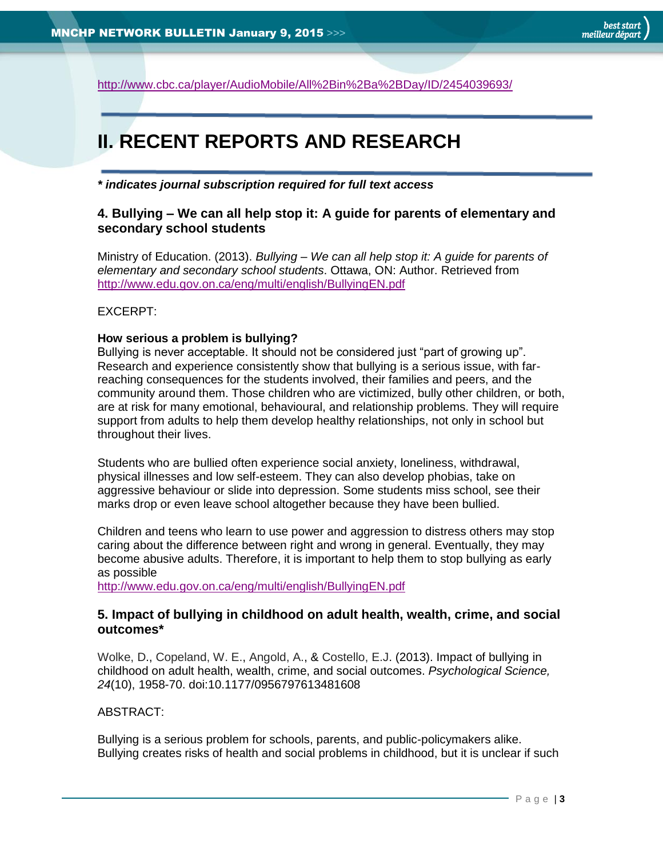<http://www.cbc.ca/player/AudioMobile/All%2Bin%2Ba%2BDay/ID/2454039693/>

# <span id="page-2-0"></span>**II. RECENT REPORTS AND RESEARCH**

<span id="page-2-1"></span>*\* indicates journal subscription required for full text access*

## **4. Bullying – We can all help stop it: A guide for parents of elementary and secondary school students**

Ministry of Education. (2013). *Bullying – We can all help stop it: A guide for parents of elementary and secondary school students*. Ottawa, ON: Author. Retrieved from <http://www.edu.gov.on.ca/eng/multi/english/BullyingEN.pdf>

## EXCERPT:

#### **How serious a problem is bullying?**

Bullying is never acceptable. It should not be considered just "part of growing up". Research and experience consistently show that bullying is a serious issue, with farreaching consequences for the students involved, their families and peers, and the community around them. Those children who are victimized, bully other children, or both, are at risk for many emotional, behavioural, and relationship problems. They will require support from adults to help them develop healthy relationships, not only in school but throughout their lives.

Students who are bullied often experience social anxiety, loneliness, withdrawal, physical illnesses and low self-esteem. They can also develop phobias, take on aggressive behaviour or slide into depression. Some students miss school, see their marks drop or even leave school altogether because they have been bullied.

Children and teens who learn to use power and aggression to distress others may stop caring about the difference between right and wrong in general. Eventually, they may become abusive adults. Therefore, it is important to help them to stop bullying as early as possible

<http://www.edu.gov.on.ca/eng/multi/english/BullyingEN.pdf>

## <span id="page-2-2"></span>**5. Impact of bullying in childhood on adult health, wealth, crime, and social outcomes\***

[Wolke,](http://www.ncbi.nlm.nih.gov/pubmed?term=Wolke%20D%5BAuthor%5D&cauthor=true&cauthor_uid=23959952) D., [Copeland,](http://www.ncbi.nlm.nih.gov/pubmed?term=Copeland%20WE%5BAuthor%5D&cauthor=true&cauthor_uid=23959952) W. E., [Angold,](http://www.ncbi.nlm.nih.gov/pubmed?term=Angold%20A%5BAuthor%5D&cauthor=true&cauthor_uid=23959952) A., & [Costello,](http://www.ncbi.nlm.nih.gov/pubmed?term=Costello%20EJ%5BAuthor%5D&cauthor=true&cauthor_uid=23959952) E.J. (2013). Impact of bullying in childhood on adult health, wealth, crime, and social outcomes. *Psychological Science, 24*(10), 1958-70. doi:10.1177/0956797613481608

## ABSTRACT:

Bullying is a serious problem for schools, parents, and public-policymakers alike. Bullying creates risks of health and social problems in childhood, but it is unclear if such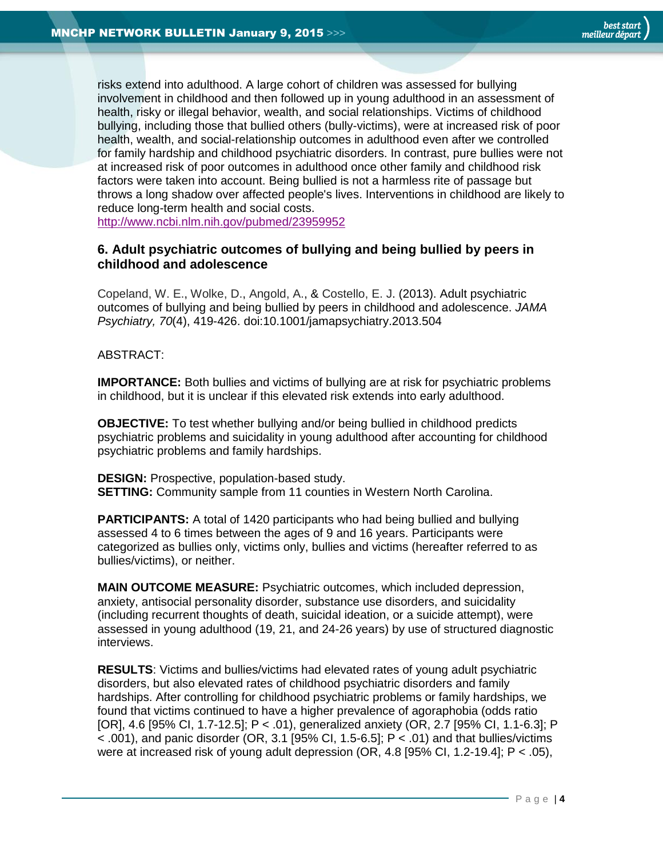risks extend into adulthood. A large cohort of children was assessed for bullying involvement in childhood and then followed up in young adulthood in an assessment of health, risky or illegal behavior, wealth, and social relationships. Victims of childhood bullying, including those that bullied others (bully-victims), were at increased risk of poor health, wealth, and social-relationship outcomes in adulthood even after we controlled for family hardship and childhood psychiatric disorders. In contrast, pure bullies were not at increased risk of poor outcomes in adulthood once other family and childhood risk factors were taken into account. Being bullied is not a harmless rite of passage but throws a long shadow over affected people's lives. Interventions in childhood are likely to reduce long-term health and social costs.

<http://www.ncbi.nlm.nih.gov/pubmed/23959952>

## <span id="page-3-0"></span>**6. Adult psychiatric outcomes of bullying and being bullied by peers in childhood and adolescence**

[Copeland,](http://www.ncbi.nlm.nih.gov/pubmed?term=Copeland%20WE%5BAuthor%5D&cauthor=true&cauthor_uid=23426798) W. E., [Wolke,](http://www.ncbi.nlm.nih.gov/pubmed?term=Wolke%20D%5BAuthor%5D&cauthor=true&cauthor_uid=23426798) D., [Angold,](http://www.ncbi.nlm.nih.gov/pubmed?term=Angold%20A%5BAuthor%5D&cauthor=true&cauthor_uid=23426798) A., & [Costello,](http://www.ncbi.nlm.nih.gov/pubmed?term=Costello%20EJ%5BAuthor%5D&cauthor=true&cauthor_uid=23426798) E. J. (2013). Adult psychiatric outcomes of bullying and being bullied by peers in childhood and adolescence. *JAMA Psychiatry, 70*(4), 419-426. doi:10.1001/jamapsychiatry.2013.504

#### ABSTRACT:

**IMPORTANCE:** Both bullies and victims of bullying are at risk for psychiatric problems in childhood, but it is unclear if this elevated risk extends into early adulthood.

**OBJECTIVE:** To test whether bullying and/or being bullied in childhood predicts psychiatric problems and suicidality in young adulthood after accounting for childhood psychiatric problems and family hardships.

**DESIGN:** Prospective, population-based study. **SETTING:** Community sample from 11 counties in Western North Carolina.

**PARTICIPANTS:** A total of 1420 participants who had being bullied and bullying assessed 4 to 6 times between the ages of 9 and 16 years. Participants were categorized as bullies only, victims only, bullies and victims (hereafter referred to as bullies/victims), or neither.

**MAIN OUTCOME MEASURE:** Psychiatric outcomes, which included depression, anxiety, antisocial personality disorder, substance use disorders, and suicidality (including recurrent thoughts of death, suicidal ideation, or a suicide attempt), were assessed in young adulthood (19, 21, and 24-26 years) by use of structured diagnostic interviews.

**RESULTS**: Victims and bullies/victims had elevated rates of young adult psychiatric disorders, but also elevated rates of childhood psychiatric disorders and family hardships. After controlling for childhood psychiatric problems or family hardships, we found that victims continued to have a higher prevalence of agoraphobia (odds ratio [OR], 4.6 [95% CI, 1.7-12.5]; P < .01), generalized anxiety (OR, 2.7 [95% CI, 1.1-6.3]; P  $<$  001), and panic disorder (OR, 3.1 [95% CI, 1.5-6.5]; P  $<$  01) and that bullies/victims were at increased risk of young adult depression  $(OR, 4.8]95\%$  CI, 1.2-19.4];  $P < .05$ ),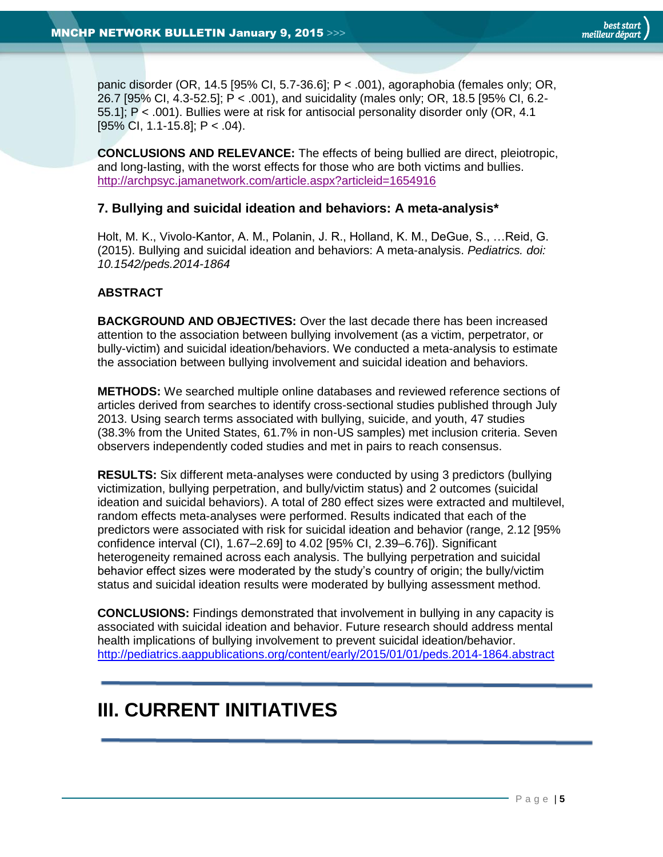panic disorder (OR, 14.5 [95% CI, 5.7-36.6]; P < .001), agoraphobia (females only; OR, 26.7 [95% CI, 4.3-52.5]; P < .001), and suicidality (males only; OR, 18.5 [95% CI, 6.2- 55.1]; P < .001). Bullies were at risk for antisocial personality disorder only (OR, 4.1 [95% CI, 1.1-15.8]; P < .04).

**CONCLUSIONS AND RELEVANCE:** The effects of being bullied are direct, pleiotropic, and long-lasting, with the worst effects for those who are both victims and bullies. <http://archpsyc.jamanetwork.com/article.aspx?articleid=1654916>

## <span id="page-4-0"></span>**7. Bullying and suicidal ideation and behaviors: A meta-analysis\***

Holt, M. K., Vivolo-Kantor, A. M., Polanin, J. R., Holland, K. M., DeGue, S., …Reid, G. (2015). Bullying and suicidal ideation and behaviors: A meta-analysis. *Pediatrics. doi: 10.1542/peds.2014-1864*

#### **ABSTRACT**

**BACKGROUND AND OBJECTIVES:** Over the last decade there has been increased attention to the association between bullying involvement (as a victim, perpetrator, or bully-victim) and suicidal ideation/behaviors. We conducted a meta-analysis to estimate the association between bullying involvement and suicidal ideation and behaviors.

**METHODS:** We searched multiple online databases and reviewed reference sections of articles derived from searches to identify cross-sectional studies published through July 2013. Using search terms associated with bullying, suicide, and youth, 47 studies (38.3% from the United States, 61.7% in non-US samples) met inclusion criteria. Seven observers independently coded studies and met in pairs to reach consensus.

**RESULTS:** Six different meta-analyses were conducted by using 3 predictors (bullying victimization, bullying perpetration, and bully/victim status) and 2 outcomes (suicidal ideation and suicidal behaviors). A total of 280 effect sizes were extracted and multilevel, random effects meta-analyses were performed. Results indicated that each of the predictors were associated with risk for suicidal ideation and behavior (range, 2.12 [95% confidence interval (CI), 1.67–2.69] to 4.02 [95% CI, 2.39–6.76]). Significant heterogeneity remained across each analysis. The bullying perpetration and suicidal behavior effect sizes were moderated by the study's country of origin; the bully/victim status and suicidal ideation results were moderated by bullying assessment method.

**CONCLUSIONS:** Findings demonstrated that involvement in bullying in any capacity is associated with suicidal ideation and behavior. Future research should address mental health implications of bullying involvement to prevent suicidal ideation/behavior. <http://pediatrics.aappublications.org/content/early/2015/01/01/peds.2014-1864.abstract>

# <span id="page-4-1"></span>**III. CURRENT INITIATIVES**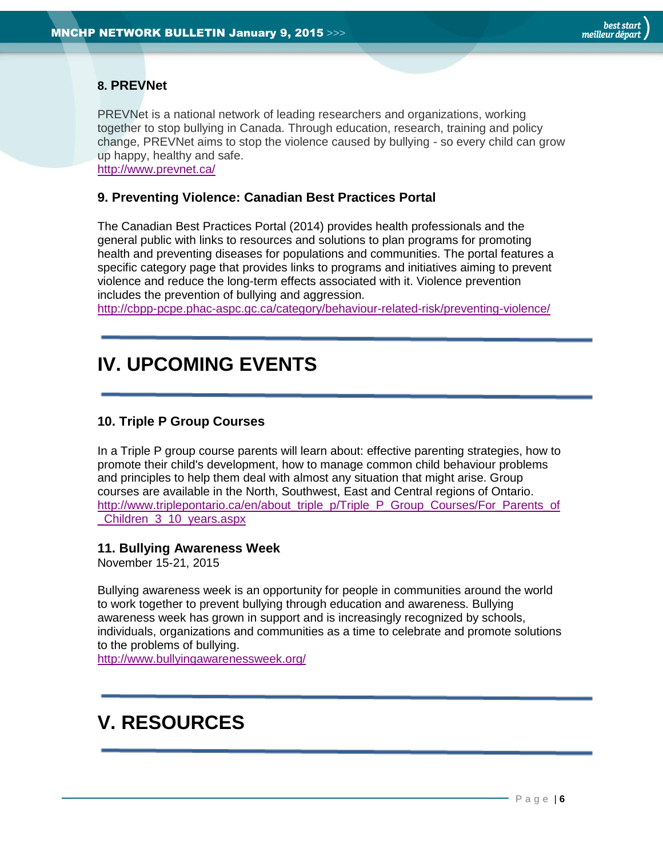# <span id="page-5-0"></span>**8. PREVNet**

PREVNet is a national network of leading researchers and organizations, working together to stop bullying in Canada. Through education, research, training and policy change, PREVNet aims to stop the violence caused by bullying - so every child can grow up happy, healthy and safe.

<http://www.prevnet.ca/>

## <span id="page-5-1"></span>**9. Preventing Violence: Canadian Best Practices Portal**

The Canadian Best Practices Portal (2014) provides health professionals and the general public with links to resources and solutions to plan programs for promoting health and preventing diseases for populations and communities. The portal features a specific category page that provides links to programs and initiatives aiming to prevent violence and reduce the long-term effects associated with it. Violence prevention includes the prevention of bullying and aggression.

<span id="page-5-2"></span><http://cbpp-pcpe.phac-aspc.gc.ca/category/behaviour-related-risk/preventing-violence/>

# **IV. UPCOMING EVENTS**

## <span id="page-5-3"></span>**10. Triple P Group Courses**

In a Triple P group course parents will learn about: effective parenting strategies, how to promote their child's development, how to manage common child behaviour problems and principles to help them deal with almost any situation that might arise. Group courses are available in the North, Southwest, East and Central regions of Ontario. [http://www.triplepontario.ca/en/about\\_triple\\_p/Triple\\_P\\_Group\\_Courses/For\\_Parents\\_of](http://www.triplepontario.ca/en/about_triple_p/Triple_P_Group_Courses/For_Parents_of_Children_3_10_years.aspx) [\\_Children\\_3\\_10\\_years.aspx](http://www.triplepontario.ca/en/about_triple_p/Triple_P_Group_Courses/For_Parents_of_Children_3_10_years.aspx)

## <span id="page-5-4"></span>**11. Bullying Awareness Week**

November 15-21, 2015

Bullying awareness week is an opportunity for people in communities around the world to work together to prevent bullying through education and awareness. Bullying awareness week has grown in support and is increasingly recognized by schools, individuals, organizations and communities as a time to celebrate and promote solutions to the problems of bullying.

<http://www.bullyingawarenessweek.org/>

# <span id="page-5-5"></span>**V. RESOURCES**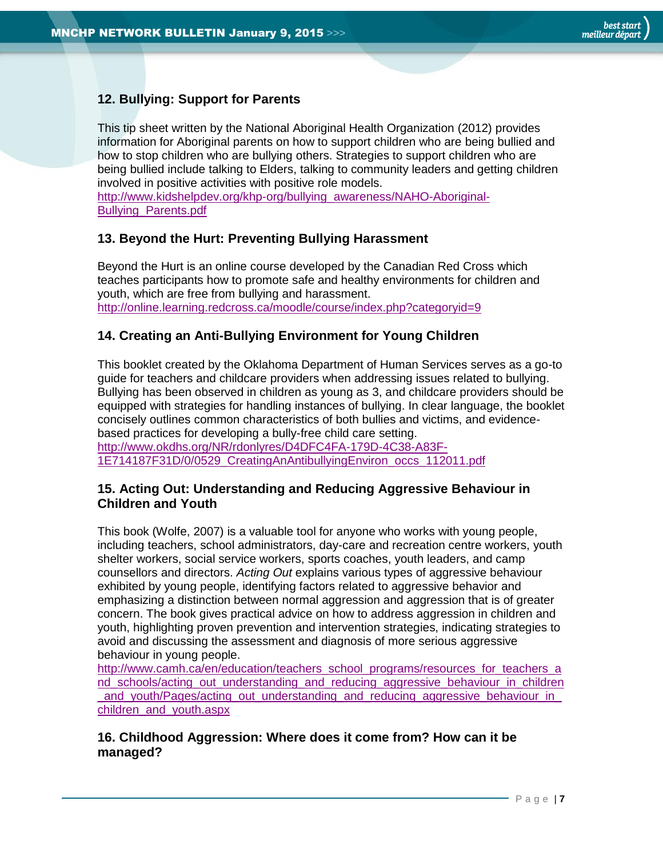# <span id="page-6-0"></span>**12. Bullying: Support for Parents**

This tip sheet written by the National Aboriginal Health Organization (2012) provides information for Aboriginal parents on how to support children who are being bullied and how to stop children who are bullying others. Strategies to support children who are being bullied include talking to Elders, talking to community leaders and getting children involved in positive activities with positive role models.

[http://www.kidshelpdev.org/khp-org/bullying\\_awareness/NAHO-Aboriginal-](http://www.kidshelpdev.org/khp-org/bullying_awareness/NAHO-Aboriginal-Bullying_Parents.pdf)[Bullying\\_Parents.pdf](http://www.kidshelpdev.org/khp-org/bullying_awareness/NAHO-Aboriginal-Bullying_Parents.pdf)

## <span id="page-6-1"></span>**13. Beyond the Hurt: Preventing Bullying Harassment**

Beyond the Hurt is an online course developed by the Canadian Red Cross which teaches participants how to promote safe and healthy environments for children and youth, which are free from bullying and harassment. <http://online.learning.redcross.ca/moodle/course/index.php?categoryid=9>

## <span id="page-6-2"></span>**14. Creating an Anti-Bullying Environment for Young Children**

This booklet created by the Oklahoma Department of Human Services serves as a go-to guide for teachers and childcare providers when addressing issues related to bullying. Bullying has been observed in children as young as 3, and childcare providers should be equipped with strategies for handling instances of bullying. In clear language, the booklet concisely outlines common characteristics of both bullies and victims, and evidencebased practices for developing a bully-free child care setting.

[http://www.okdhs.org/NR/rdonlyres/D4DFC4FA-179D-4C38-A83F-](http://www.okdhs.org/NR/rdonlyres/D4DFC4FA-179D-4C38-A83F-1E714187F31D/0/0529_CreatingAnAntibullyingEnviron_occs_112011.pdf)[1E714187F31D/0/0529\\_CreatingAnAntibullyingEnviron\\_occs\\_112011.pdf](http://www.okdhs.org/NR/rdonlyres/D4DFC4FA-179D-4C38-A83F-1E714187F31D/0/0529_CreatingAnAntibullyingEnviron_occs_112011.pdf)

## <span id="page-6-3"></span>**15. Acting Out: Understanding and Reducing Aggressive Behaviour in Children and Youth**

This book (Wolfe, 2007) is a valuable tool for anyone who works with young people, including teachers, school administrators, day-care and recreation centre workers, youth shelter workers, social service workers, sports coaches, youth leaders, and camp counsellors and directors. *Acting Out* explains various types of aggressive behaviour exhibited by young people, identifying factors related to aggressive behavior and emphasizing a distinction between normal aggression and aggression that is of greater concern. The book gives practical advice on how to address aggression in children and youth, highlighting proven prevention and intervention strategies, indicating strategies to avoid and discussing the assessment and diagnosis of more serious aggressive behaviour in young people.

[http://www.camh.ca/en/education/teachers\\_school\\_programs/resources\\_for\\_teachers\\_a](http://www.camh.ca/en/education/teachers_school_programs/resources_for_teachers_and_schools/acting_out_understanding_and_reducing_aggressive_behaviour_in_children_and_youth/Pages/acting_out_understanding_and_reducing_aggressive_behaviour_in_children_and_youth.aspx) [nd\\_schools/acting\\_out\\_understanding\\_and\\_reducing\\_aggressive\\_behaviour\\_in\\_children](http://www.camh.ca/en/education/teachers_school_programs/resources_for_teachers_and_schools/acting_out_understanding_and_reducing_aggressive_behaviour_in_children_and_youth/Pages/acting_out_understanding_and_reducing_aggressive_behaviour_in_children_and_youth.aspx) [\\_and\\_youth/Pages/acting\\_out\\_understanding\\_and\\_reducing\\_aggressive\\_behaviour\\_in\\_](http://www.camh.ca/en/education/teachers_school_programs/resources_for_teachers_and_schools/acting_out_understanding_and_reducing_aggressive_behaviour_in_children_and_youth/Pages/acting_out_understanding_and_reducing_aggressive_behaviour_in_children_and_youth.aspx) [children\\_and\\_youth.aspx](http://www.camh.ca/en/education/teachers_school_programs/resources_for_teachers_and_schools/acting_out_understanding_and_reducing_aggressive_behaviour_in_children_and_youth/Pages/acting_out_understanding_and_reducing_aggressive_behaviour_in_children_and_youth.aspx)

## <span id="page-6-4"></span>**16. Childhood Aggression: Where does it come from? How can it be managed?**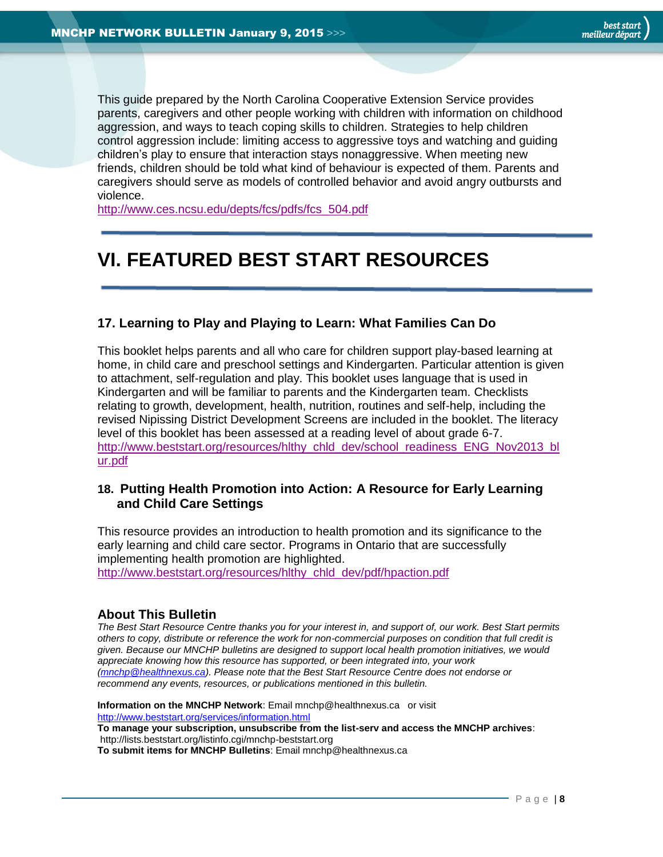This guide prepared by the North Carolina Cooperative Extension Service provides parents, caregivers and other people working with children with information on childhood aggression, and ways to teach coping skills to children. Strategies to help children control aggression include: limiting access to aggressive toys and watching and guiding children's play to ensure that interaction stays nonaggressive. When meeting new friends, children should be told what kind of behaviour is expected of them. Parents and caregivers should serve as models of controlled behavior and avoid angry outbursts and violence.

[http://www.ces.ncsu.edu/depts/fcs/pdfs/fcs\\_504.pdf](http://www.ces.ncsu.edu/depts/fcs/pdfs/fcs_504.pdf)

# <span id="page-7-1"></span>**VI. FEATURED BEST START RESOURCES**

## <span id="page-7-2"></span>**17. Learning to Play and Playing to Learn: What Families Can Do**

This booklet helps parents and all who care for children support play-based learning at home, in child care and preschool settings and Kindergarten. Particular attention is given to attachment, self-regulation and play. This booklet uses language that is used in Kindergarten and will be familiar to parents and the Kindergarten team. Checklists relating to growth, development, health, nutrition, routines and self-help, including the revised Nipissing District Development Screens are included in the booklet. The literacy level of this booklet has been assessed at a reading level of about grade 6-7. [http://www.beststart.org/resources/hlthy\\_chld\\_dev/school\\_readiness\\_ENG\\_Nov2013\\_bl](http://www.beststart.org/resources/hlthy_chld_dev/school_readiness_ENG_Nov2013_blur.pdf) [ur.pdf](http://www.beststart.org/resources/hlthy_chld_dev/school_readiness_ENG_Nov2013_blur.pdf)

## <span id="page-7-3"></span>**18. Putting Health Promotion into Action: A Resource for Early Learning and Child Care Settings**

This resource provides an introduction to health promotion and its significance to the early learning and child care sector. Programs in Ontario that are successfully implementing health promotion are highlighted. [http://www.beststart.org/resources/hlthy\\_chld\\_dev/pdf/hpaction.pdf](http://www.beststart.org/resources/hlthy_chld_dev/pdf/hpaction.pdf)

## <span id="page-7-0"></span>**About This Bulletin**

*The Best Start Resource Centre thanks you for your interest in, and support of, our work. Best Start permits others to copy, distribute or reference the work for non-commercial purposes on condition that full credit is given. Because our MNCHP bulletins are designed to support local health promotion initiatives, we would appreciate knowing how this resource has supported, or been integrated into, your work [\(mnchp@healthnexus.ca\)](mailto:mnchp@healthnexus.ca). Please note that the Best Start Resource Centre does not endorse or recommend any events, resources, or publications mentioned in this bulletin.* 

**Information on the MNCHP Network**: Email mnchp@healthnexus.ca or visit <http://www.beststart.org/services/information.html> **To manage your subscription, unsubscribe from the list-serv and access the MNCHP archives**: http://lists.beststart.org/listinfo.cgi/mnchp-beststart.org **To submit items for MNCHP Bulletins**: Email mnchp@healthnexus.ca